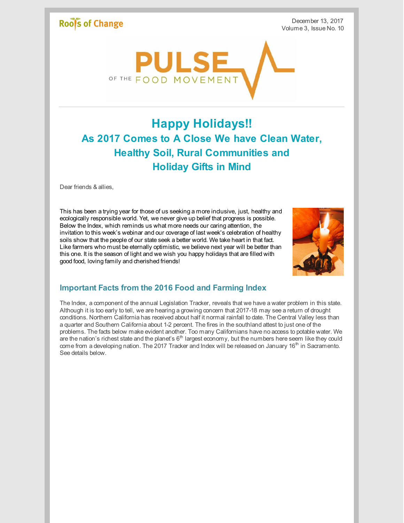### **Roofs of Change**

December 13, 2017 Volume 3, Issue No. 10



## **Happy Holidays!! As 2017 Comes to A Close We have Clean Water, Healthy Soil, Rural Communities and Holiday Gifts in Mind**

Dear friends & allies.

This has been a trying year for those of us seeking a more inclusive, just, healthy and ecologically responsible world. Yet, we never give up belief that progress is possible. Below the Index, which reminds us what more needs our caring attention, the invitation to this week's webinar and our coverage of last week's celebration of healthy soils show that the people of our state seek a better world. We take heart in that fact. Like farmers who must be eternally optimistic, we believe next year will be better than this one. It is the season of light and we wish you happy holidays that are filled with good food, loving family and cherished friends!



#### **Important Facts from the 2016 Food and Farming Index**

The Index, a component of the annual Legislation Tracker, reveals that we have a water problem in this state. Although it is too early to tell, we are hearing a growing concern that 2017-18 may see a return of drought conditions. Northern California has received about half it normal rainfall to date. The Central Valley less than a quarter and Southern California about 1-2 percent. The fires in the southland attest to just one of the problems. The facts below make evident another. Too many Californians have no access to potable water. We are the nation's richest state and the planet's 6<sup>th</sup> largest economy, but the numbers here seem like they could come from a developing nation. The 2017 Tracker and Index will be released on January 16<sup>th</sup> in Sacramento. See details below.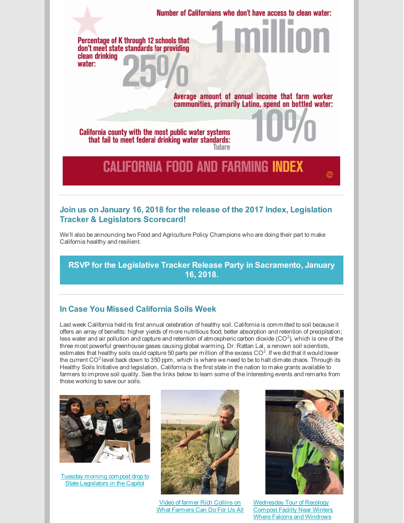Percentage of K through 12 schools that don't meet state standards for providing clean drinking water:

> Average amount of annual income that farm worker communities, primarily Latino, spend on bottled water:

Number of Californians who don't have access to clean water:

California county with the most public water systems that fail to meet federal drinking water standards: Tulare

# **CALIFORNIA FOOD AND FARMING INDEX**

#### **Join us on January 16, 2018 for the release of the 2017 Index, Legislation Tracker & Legislators Scorecard!**

We'll also be announcing two Food and Agriculture Policy Champions who are doing their part to make California healthy and resilient.

**RSVP for the Legislative Tracker Release Party in [Sacramento,](https://www.eventbrite.com/e/2017-legislative-tracker-release-party-tickets-38416857856) January 16, 2018.**

#### **In Case You Missed California Soils Week**

Last week California held its first annual celebration of healthy soil. California is committed to soil because it offers an array of benefits: higher yields of more nutritious food; better absorption and retention of precipitation; less water and air pollution and capture and retention of atmospheric carbon dioxide (CO<sup>2</sup>), which is one of the three most powerful greenhouse gases causing global warming. Dr. Rattan Lal, a renown soil scientists, estimates that healthy soils could capture 50 parts per million of the excess CO<sup>2</sup>. If we did that it would lower the current CO<sup>2</sup> level back down to 350 ppm, which is where we need to be to halt climate chaos. Through its Healthy Soils Initiative and legislation, California is the first state in the nation to make grants available to farmers to improve soil quality. See the links below to learn some of the interesting events and remarks from those working to save our soils.



Tuesday morning compost drop to State [Legislators](https://www.facebook.com/rootsofchange/posts/10154938243760877) in the Capitol



Video of farmer Rich Collins on What [Farmers](https://www.facebook.com/michael.r.dimock/videos/10156128983008394/) Can Do For Us All



[Wednesday](https://www.facebook.com/rootsofchange/posts/10154938777785877) Tour of Recology **Compost Facility Near Winters** Where Falcons and Windrows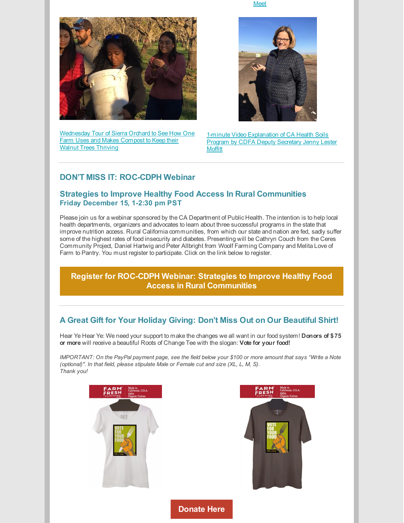Meet



[Wednesday](https://www.facebook.com/rootsofchange/posts/10154940605410877) Tour of Sierra Orchard to See How One Farm Uses and Makes Compost to Keep their Walnut Trees Thriving



1-minute Video [Explanation](https://www.facebook.com/rootsofchange/videos/10154941356405877/) of CA Health Soils Program by CDFA Deputy Secretary Jenny Lester **Moffitt** 

#### **DON'T MISS IT: ROC-CDPH Webinar**

#### **Strategies to Improve Healthy Food Access In Rural Communities Friday December 15, 1-2:30 pm PST**

Please join us for a webinar sponsored by the CA Department of Public Health. The intention is to help local health departments, organizers and advocates to learn about three successful programs in the state that improve nutrition access. Rural California communities, from which our state and nation are fed, sadly suffer some of the highest rates of food insecurity and diabetes. Presenting will be Cathryn Couch from the Ceres Community Project, Daniel Hartwig and Peter Allbright from Woolf Farming Company and Melita Love of Farm to Pantry. You must register to participate. Click on the link below to register.

**Register for ROC-CDPH Webinar: Strategies to Improve Healthy Food Access in Rural [Communities](https://attendee.gototraining.com/r/5098809639220693249)**

#### **A Great Gift for Your Holiday Giving: Don't Miss Out on Our Beautiful Shirt!**

Hear Ye Hear Ye: We need your support to make the changes we all want in our food system! **Donors of \$75 or more** will receive a beautiful Roots of Change Tee with the slogan: **Vote for your food!**

IMPORTANT: On the PayPal payment page, see the field below your \$100 or more amount that says "Write a Note *(optional)". In that field, please stipulate Male or Female cut and size (XL, L, M, S). Thank you!*

**[Donate](http://www.rootsofchange.org/get-involved/donate/) Here**